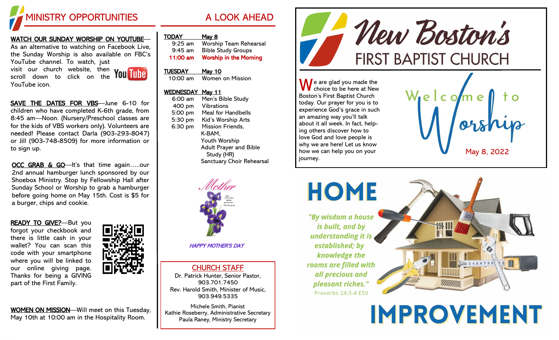

## <u>WATCH OUR SUNDAY WORSHIP ON YOUTUBE</u>—

As an alternative to watching on Facebook Live, the Sunday Worship is also available on FBC's YouTube channel. To watch, just visit our church website, then

scroll down to click on the YouTube icon.



SAVE THE DATES FOR VBS-June 6-10 for children who have completed K -6th grade, from 8:45 am —Noon. (Nursery/Preschool classes are for the kids of VBS workers only). Volunteers are needed! Please contact Darla (903 -293 -8047) or Jill (903 -748 -8509) for more information or to sign up.

OCC GRAB & GO-It's that time again.....our 2nd annual hamburger lunch sponsored by our Shoebox Ministry. Stop by Fellowship Hall after Sunday School or Worship to grab a hamburger before going home on May 15th. Cost is \$5 for a burger, chips and cookie.

READY TO GIVE?-But you forgot your checkbook and there is little cash in your wallet? You can scan this code with your smartphone where you will be linked to our online giving page. Thanks for being a GIVING part of the First Family.



WOMEN ON MISSION-Will meet on this Tuesday, May 10th at 10:00 am in the Hospitality Room.

| <b>TODAY</b> | Mav |
|--------------|-----|
|              |     |

| $9:25$ am | <b>Worship Team Rehearsal</b> |
|-----------|-------------------------------|
| $9:45$ am | <b>Bible Study Groups</b>     |
| 11:00 am  | <b>Worship in the Morning</b> |

#### TUESDAY May 10

10:00 am Women on Mission

## WEDNESDAY May 11

| $6:00$ am | Men's Bible Study                           |
|-----------|---------------------------------------------|
| 400 pm    | Vibrations                                  |
| 5:00 pm   | Meal for Handbells                          |
| 5:30 pm   | Kid's Worship Arts                          |
| 6:30 pm   | <b>Mission Friends,</b>                     |
|           | K-BAM,                                      |
|           | Youth Worship                               |
|           | <b>Adult Prayer and Bible</b><br>Study (HR) |
|           | Sanctuary Choir Rehearsal                   |



HAPPY MOTHER'S DAY

CHURCH STAFF Dr. Patrick Hunter, Senior Pastor, 903.701.7450 Rev. Harold Smith, Minister of Music, 903.949.5335

Michele Smith, Pianist Kathie Roseberry, Administrative Secretary Paula Raney, Ministry Secretary



 $\bigwedge$  e are glad you made the choice to be here at New Boston's First Baptist Church today. Our prayer for you is to experience God's grace in such an amazing way you'll talk about it all week. In fact, helping others discover how to love God and love people is why we are here! Let us know how we can help you on your journey.





**IMPROVEMENT**